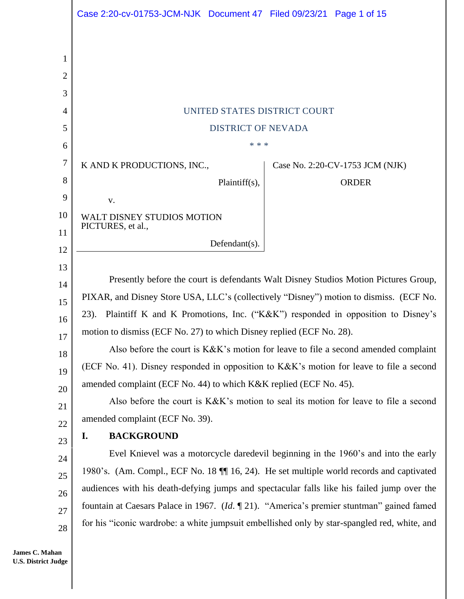|                | Case 2:20-cv-01753-JCM-NJK Document 47 Filed 09/23/21 Page 1 of 15                           |                                 |  |
|----------------|----------------------------------------------------------------------------------------------|---------------------------------|--|
|                |                                                                                              |                                 |  |
| 1              |                                                                                              |                                 |  |
| $\overline{2}$ |                                                                                              |                                 |  |
| 3              |                                                                                              |                                 |  |
| $\overline{4}$ | UNITED STATES DISTRICT COURT                                                                 |                                 |  |
| 5              | <b>DISTRICT OF NEVADA</b>                                                                    |                                 |  |
| 6              | * * *                                                                                        |                                 |  |
| 7              | K AND K PRODUCTIONS, INC.,                                                                   | Case No. 2:20-CV-1753 JCM (NJK) |  |
| 8              | Plaintiff(s),                                                                                | <b>ORDER</b>                    |  |
| 9              | V.                                                                                           |                                 |  |
| 10             | WALT DISNEY STUDIOS MOTION<br>PICTURES, et al.,                                              |                                 |  |
| 11             | Defendant(s).                                                                                |                                 |  |
| 12             |                                                                                              |                                 |  |
| 13<br>14       | Presently before the court is defendants Walt Disney Studios Motion Pictures Group,          |                                 |  |
| 15             | PIXAR, and Disney Store USA, LLC's (collectively "Disney") motion to dismiss. (ECF No.       |                                 |  |
| 16             | Plaintiff K and K Promotions, Inc. ("K&K") responded in opposition to Disney's<br>$23$ ).    |                                 |  |
| 17             | motion to dismiss (ECF No. 27) to which Disney replied (ECF No. 28).                         |                                 |  |
| 18             | Also before the court is K&K's motion for leave to file a second amended complaint           |                                 |  |
| 19             | (ECF No. 41). Disney responded in opposition to K&K's motion for leave to file a second      |                                 |  |
| 20             | amended complaint (ECF No. 44) to which K&K replied (ECF No. 45).                            |                                 |  |
| 21             | Also before the court is K&K's motion to seal its motion for leave to file a second          |                                 |  |
| 22             | amended complaint (ECF No. 39).                                                              |                                 |  |
| 23             | <b>BACKGROUND</b><br>I.                                                                      |                                 |  |
| 24             | Evel Knievel was a motorcycle daredevil beginning in the 1960's and into the early           |                                 |  |
| 25             | 1980's. (Am. Compl., ECF No. 18    16, 24). He set multiple world records and captivated     |                                 |  |
| 26             | audiences with his death-defying jumps and spectacular falls like his failed jump over the   |                                 |  |
| 27             | fountain at Caesars Palace in 1967. (Id. $\P$ 21). "America's premier stuntman" gained famed |                                 |  |
| 28             | for his "iconic wardrobe: a white jumpsuit embellished only by star-spangled red, white, and |                                 |  |

**James C. Mahan U.S. District Judge**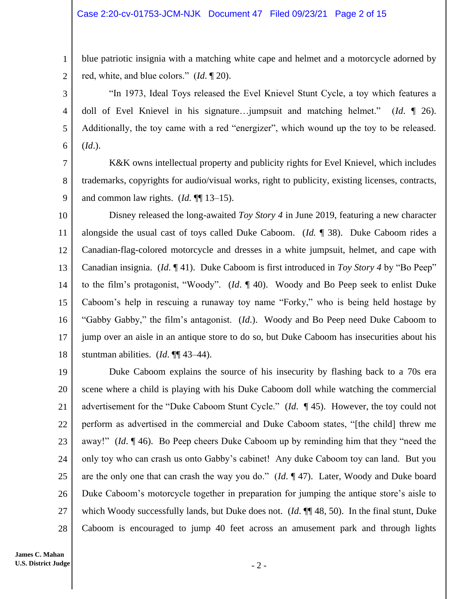blue patriotic insignia with a matching white cape and helmet and a motorcycle adorned by red, white, and blue colors." (*Id*. ¶ 20).

"In 1973, Ideal Toys released the Evel Knievel Stunt Cycle, a toy which features a doll of Evel Knievel in his signature…jumpsuit and matching helmet." (*Id*. ¶ 26). Additionally, the toy came with a red "energizer", which wound up the toy to be released. (*Id*.).

7 9 K&K owns intellectual property and publicity rights for Evel Knievel, which includes trademarks, copyrights for audio/visual works, right to publicity, existing licenses, contracts, and common law rights. (*Id.* ¶¶ 13–15).

10 11 12 13 14 15 16 17 18 Disney released the long-awaited *Toy Story 4* in June 2019, featuring a new character alongside the usual cast of toys called Duke Caboom. (*Id.* ¶ 38). Duke Caboom rides a Canadian-flag-colored motorcycle and dresses in a white jumpsuit, helmet, and cape with Canadian insignia. (*Id*. ¶ 41). Duke Caboom is first introduced in *Toy Story 4* by "Bo Peep" to the film's protagonist, "Woody". (*Id*. ¶ 40).Woody and Bo Peep seek to enlist Duke Caboom's help in rescuing a runaway toy name "Forky," who is being held hostage by "Gabby Gabby," the film's antagonist. (*Id*.). Woody and Bo Peep need Duke Caboom to jump over an aisle in an antique store to do so, but Duke Caboom has insecurities about his stuntman abilities. (*Id*. ¶¶ 43–44).

19 20 21 22 23 24 25 26 27 28 Duke Caboom explains the source of his insecurity by flashing back to a 70s era scene where a child is playing with his Duke Caboom doll while watching the commercial advertisement for the "Duke Caboom Stunt Cycle." (*Id*. ¶ 45). However, the toy could not perform as advertised in the commercial and Duke Caboom states, "[the child] threw me away!" (*Id*. ¶ 46). Bo Peep cheers Duke Caboom up by reminding him that they "need the only toy who can crash us onto Gabby's cabinet! Any duke Caboom toy can land. But you are the only one that can crash the way you do." (*Id*. ¶ 47). Later, Woody and Duke board Duke Caboom's motorcycle together in preparation for jumping the antique store's aisle to which Woody successfully lands, but Duke does not. (*Id.*  $\P$  48, 50). In the final stunt, Duke Caboom is encouraged to jump 40 feet across an amusement park and through lights

1

2

3

4

5

6

8

- 2 -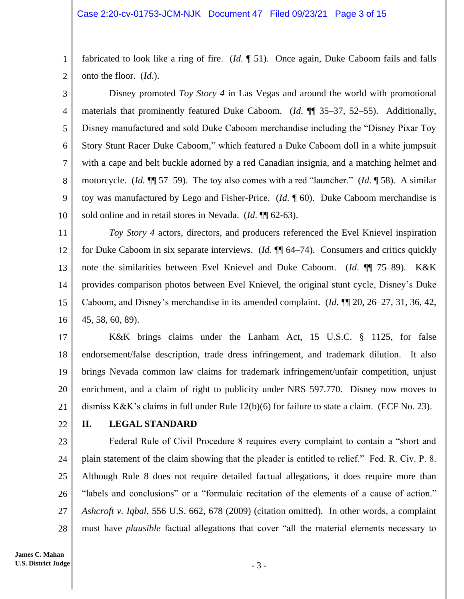1 2 fabricated to look like a ring of fire. (*Id*. ¶ 51). Once again, Duke Caboom fails and falls onto the floor. (*Id*.).

3 4 5 6 7 8 9 10 Disney promoted *Toy Story 4* in Las Vegas and around the world with promotional materials that prominently featured Duke Caboom. (*Id*. ¶¶ 35–37, 52–55). Additionally, Disney manufactured and sold Duke Caboom merchandise including the "Disney Pixar Toy Story Stunt Racer Duke Caboom," which featured a Duke Caboom doll in a white jumpsuit with a cape and belt buckle adorned by a red Canadian insignia, and a matching helmet and motorcycle. (*Id.* ¶¶ 57–59). The toy also comes with a red "launcher." (*Id*. ¶ 58). A similar toy was manufactured by Lego and Fisher-Price. (*Id*. ¶ 60). Duke Caboom merchandise is sold online and in retail stores in Nevada. (*Id*. ¶¶ 62-63).

11 12 13 14 15 16 *Toy Story 4* actors, directors, and producers referenced the Evel Knievel inspiration for Duke Caboom in six separate interviews. (*Id*. ¶¶ 64–74). Consumers and critics quickly note the similarities between Evel Knievel and Duke Caboom. (*Id*. ¶¶ 75–89). K&K provides comparison photos between Evel Knievel, the original stunt cycle, Disney's Duke Caboom, and Disney's merchandise in its amended complaint. (*Id*. ¶¶ 20, 26–27, 31, 36, 42, 45, 58, 60, 89).

17 18 19 20 21 K&K brings claims under the Lanham Act, 15 U.S.C. § 1125, for false endorsement/false description, trade dress infringement, and trademark dilution. It also brings Nevada common law claims for trademark infringement/unfair competition, unjust enrichment, and a claim of right to publicity under NRS 597.770. Disney now moves to dismiss K&K's claims in full under Rule 12(b)(6) for failure to state a claim. (ECF No. 23).

22

# **II. LEGAL STANDARD**

23 24 25 26 27 28 Federal Rule of Civil Procedure 8 requires every complaint to contain a "short and plain statement of the claim showing that the pleader is entitled to relief." Fed. R. Civ. P. 8. Although Rule 8 does not require detailed factual allegations, it does require more than "labels and conclusions" or a "formulaic recitation of the elements of a cause of action." *Ashcroft v. Iqbal*, 556 U.S. 662, 678 (2009) (citation omitted). In other words, a complaint must have *plausible* factual allegations that cover "all the material elements necessary to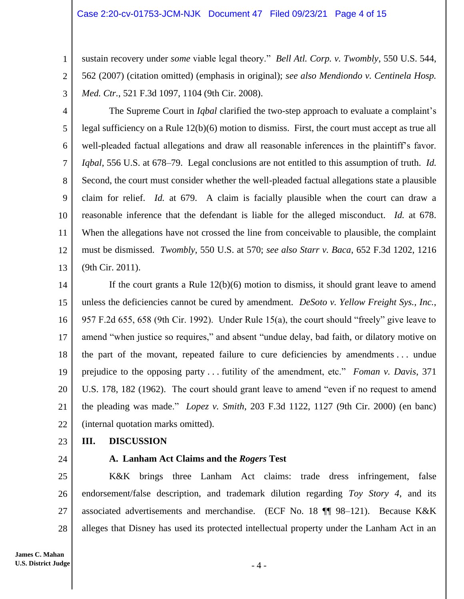#### Case 2:20-cv-01753-JCM-NJK Document 47 Filed 09/23/21 Page 4 of 15

sustain recovery under *some* viable legal theory." *Bell Atl. Corp. v. Twombly*, 550 U.S. 544, 562 (2007) (citation omitted) (emphasis in original); *see also Mendiondo v. Centinela Hosp. Med. Ctr.*, 521 F.3d 1097, 1104 (9th Cir. 2008).

3

1

2

4 5 6 7 8 9 10 11 12 13 The Supreme Court in *Iqbal* clarified the two-step approach to evaluate a complaint's legal sufficiency on a Rule 12(b)(6) motion to dismiss. First, the court must accept as true all well-pleaded factual allegations and draw all reasonable inferences in the plaintiff's favor. *Iqbal*, 556 U.S. at 678–79. Legal conclusions are not entitled to this assumption of truth. *Id.* Second, the court must consider whether the well-pleaded factual allegations state a plausible claim for relief. *Id.* at 679. A claim is facially plausible when the court can draw a reasonable inference that the defendant is liable for the alleged misconduct. *Id.* at 678. When the allegations have not crossed the line from conceivable to plausible, the complaint must be dismissed. *Twombly*, 550 U.S. at 570; *see also Starr v. Baca*, 652 F.3d 1202, 1216 (9th Cir. 2011).

14 15 16 17 18 19 20 21 22 If the court grants a Rule 12(b)(6) motion to dismiss, it should grant leave to amend unless the deficiencies cannot be cured by amendment. *DeSoto v. Yellow Freight Sys., Inc.*, 957 F.2d 655, 658 (9th Cir. 1992). Under Rule 15(a), the court should "freely" give leave to amend "when justice so requires," and absent "undue delay, bad faith, or dilatory motive on the part of the movant, repeated failure to cure deficiencies by amendments . . . undue prejudice to the opposing party . . . futility of the amendment, etc." *Foman v. Davis*, 371 U.S. 178, 182 (1962). The court should grant leave to amend "even if no request to amend the pleading was made." *Lopez v. Smith*, 203 F.3d 1122, 1127 (9th Cir. 2000) (en banc) (internal quotation marks omitted).

- 23 **III. DISCUSSION**
- 24

# **A. Lanham Act Claims and the** *Rogers* **Test**

25 26 27 28 K&K brings three Lanham Act claims: trade dress infringement, false endorsement/false description, and trademark dilution regarding *Toy Story 4*, and its associated advertisements and merchandise. (ECF No. 18 ¶¶ 98–121). Because K&K alleges that Disney has used its protected intellectual property under the Lanham Act in an

 $-4-$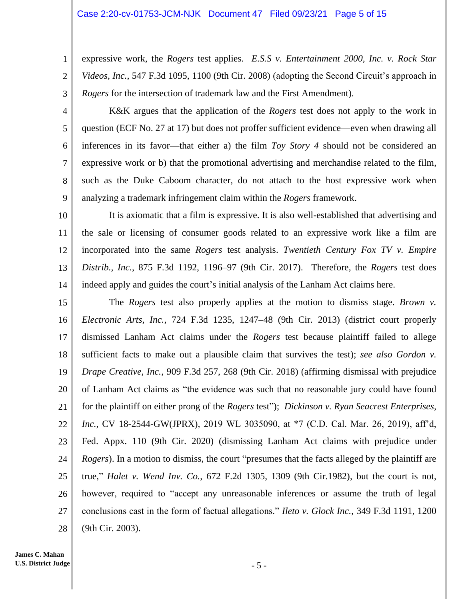expressive work, the *Rogers* test applies. *E.S.S v. Entertainment 2000, Inc. v. Rock Star Videos, Inc.*, 547 F.3d 1095, 1100 (9th Cir. 2008) (adopting the Second Circuit's approach in *Rogers* for the intersection of trademark law and the First Amendment).

3 4

5

6

7

8

9

1

2

K&K argues that the application of the *Rogers* test does not apply to the work in question (ECF No. 27 at 17) but does not proffer sufficient evidence—even when drawing all inferences in its favor—that either a) the film *Toy Story 4* should not be considered an expressive work or b) that the promotional advertising and merchandise related to the film, such as the Duke Caboom character, do not attach to the host expressive work when analyzing a trademark infringement claim within the *Rogers* framework.

10 11 12 13 14 It is axiomatic that a film is expressive. It is also well-established that advertising and the sale or licensing of consumer goods related to an expressive work like a film are incorporated into the same *Rogers* test analysis. *Twentieth Century Fox TV v. Empire Distrib., Inc.*, 875 F.3d 1192, 1196–97 (9th Cir. 2017). Therefore, the *Rogers* test does indeed apply and guides the court's initial analysis of the Lanham Act claims here.

15 16 17 18 19 20 21 22 23 24 25 26 27 28 The *Rogers* test also properly applies at the motion to dismiss stage. *Brown v. Electronic Arts, Inc.*, 724 F.3d 1235, 1247–48 (9th Cir. 2013) (district court properly dismissed Lanham Act claims under the *Rogers* test because plaintiff failed to allege sufficient facts to make out a plausible claim that survives the test); *see also Gordon v. Drape Creative, Inc.*, 909 F.3d 257, 268 (9th Cir. 2018) (affirming dismissal with prejudice of Lanham Act claims as "the evidence was such that no reasonable jury could have found for the plaintiff on either prong of the *Rogers* test"); *Dickinson v. Ryan Seacrest Enterprises, Inc.*, CV 18-2544-GW(JPRX), 2019 WL 3035090, at \*7 (C.D. Cal. Mar. 26, 2019), aff'd, Fed. Appx. 110 (9th Cir. 2020) (dismissing Lanham Act claims with prejudice under *Rogers*). In a motion to dismiss, the court "presumes that the facts alleged by the plaintiff are true," *Halet v. Wend Inv. Co.*, 672 F.2d 1305, 1309 (9th Cir.1982), but the court is not, however, required to "accept any unreasonable inferences or assume the truth of legal conclusions cast in the form of factual allegations." *Ileto v. Glock Inc.*, 349 F.3d 1191, 1200 (9th Cir. 2003).

- 5 -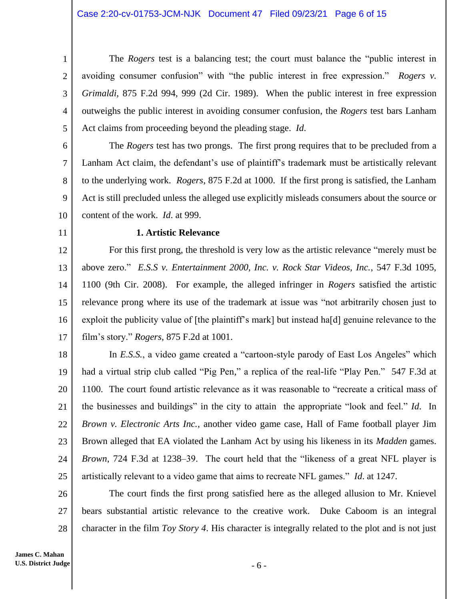The *Rogers* test is a balancing test; the court must balance the "public interest in avoiding consumer confusion" with "the public interest in free expression." *Rogers v. Grimaldi*, 875 F.2d 994, 999 (2d Cir. 1989). When the public interest in free expression outweighs the public interest in avoiding consumer confusion, the *Rogers* test bars Lanham Act claims from proceeding beyond the pleading stage. *Id*.

6 7 8 9 10 The *Rogers* test has two prongs. The first prong requires that to be precluded from a Lanham Act claim, the defendant's use of plaintiff's trademark must be artistically relevant to the underlying work. *Rogers*, 875 F.2d at 1000. If the first prong is satisfied, the Lanham Act is still precluded unless the alleged use explicitly misleads consumers about the source or content of the work. *Id*. at 999.

11

1

2

3

4

5

## **1. Artistic Relevance**

12 13 14 15 16 17 For this first prong, the threshold is very low as the artistic relevance "merely must be above zero." *E.S.S v. Entertainment 2000, Inc. v. Rock Star Videos, Inc.*, 547 F.3d 1095, 1100 (9th Cir. 2008). For example, the alleged infringer in *Rogers* satisfied the artistic relevance prong where its use of the trademark at issue was "not arbitrarily chosen just to exploit the publicity value of [the plaintiff's mark] but instead ha<sup>[d]</sup> genuine relevance to the film's story." *Rogers*, 875 F.2d at 1001.

18 19 20 21 22 23 24 25 In *E.S.S.*, a video game created a "cartoon-style parody of East Los Angeles" which had a virtual strip club called "Pig Pen," a replica of the real-life "Play Pen." 547 F.3d at 1100. The court found artistic relevance as it was reasonable to "recreate a critical mass of the businesses and buildings" in the city to attain the appropriate "look and feel." *Id*. In *Brown v. Electronic Arts Inc.*, another video game case, Hall of Fame football player Jim Brown alleged that EA violated the Lanham Act by using his likeness in its *Madden* games. *Brown*, 724 F.3d at 1238–39. The court held that the "likeness of a great NFL player is artistically relevant to a video game that aims to recreate NFL games." *Id*. at 1247.

26 27 28 The court finds the first prong satisfied here as the alleged allusion to Mr. Knievel bears substantial artistic relevance to the creative work. Duke Caboom is an integral character in the film *Toy Story 4*. His character is integrally related to the plot and is not just

- 6 -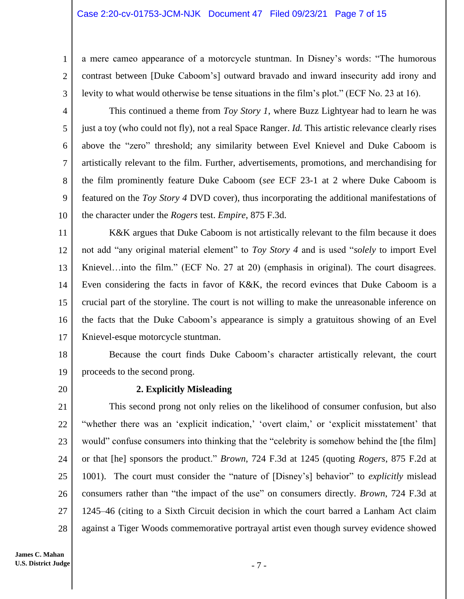#### Case 2:20-cv-01753-JCM-NJK Document 47 Filed 09/23/21 Page 7 of 15

a mere cameo appearance of a motorcycle stuntman. In Disney's words: "The humorous contrast between [Duke Caboom's] outward bravado and inward insecurity add irony and levity to what would otherwise be tense situations in the film's plot." (ECF No. 23 at 16).

3 4

5

6

7

8

9

10

1

2

This continued a theme from *Toy Story 1*, where Buzz Lightyear had to learn he was just a toy (who could not fly), not a real Space Ranger. *Id.* This artistic relevance clearly rises above the "zero" threshold; any similarity between Evel Knievel and Duke Caboom is artistically relevant to the film. Further, advertisements, promotions, and merchandising for the film prominently feature Duke Caboom (*see* ECF 23-1 at 2 where Duke Caboom is featured on the *Toy Story 4* DVD cover), thus incorporating the additional manifestations of the character under the *Rogers* test. *Empire*, 875 F.3d.

11 12 13 14 15 16 17 K&K argues that Duke Caboom is not artistically relevant to the film because it does not add "any original material element" to *Toy Story 4* and is used "*solely* to import Evel Knievel…into the film." (ECF No. 27 at 20) (emphasis in original). The court disagrees. Even considering the facts in favor of K&K, the record evinces that Duke Caboom is a crucial part of the storyline. The court is not willing to make the unreasonable inference on the facts that the Duke Caboom's appearance is simply a gratuitous showing of an Evel Knievel-esque motorcycle stuntman.

18 19 Because the court finds Duke Caboom's character artistically relevant, the court proceeds to the second prong.

20

## **2. Explicitly Misleading**

21 22 23 24 25 26 27 28 This second prong not only relies on the likelihood of consumer confusion, but also "whether there was an 'explicit indication,' 'overt claim,' or 'explicit misstatement' that would" confuse consumers into thinking that the "celebrity is somehow behind the [the film] or that [he] sponsors the product." *Brown*, 724 F.3d at 1245 (quoting *Rogers*, 875 F.2d at 1001). The court must consider the "nature of [Disney's] behavior" to *explicitly* mislead consumers rather than "the impact of the use" on consumers directly. *Brown*, 724 F.3d at 1245–46 (citing to a Sixth Circuit decision in which the court barred a Lanham Act claim against a Tiger Woods commemorative portrayal artist even though survey evidence showed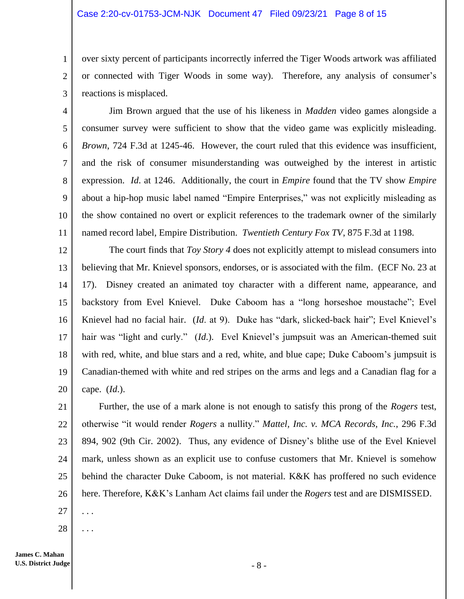#### Case 2:20-cv-01753-JCM-NJK Document 47 Filed 09/23/21 Page 8 of 15

over sixty percent of participants incorrectly inferred the Tiger Woods artwork was affiliated or connected with Tiger Woods in some way). Therefore, any analysis of consumer's reactions is misplaced.

4 5 6 7 8 9 10 11 Jim Brown argued that the use of his likeness in *Madden* video games alongside a consumer survey were sufficient to show that the video game was explicitly misleading. *Brown*, 724 F.3d at 1245-46. However, the court ruled that this evidence was insufficient, and the risk of consumer misunderstanding was outweighed by the interest in artistic expression. *Id*. at 1246. Additionally, the court in *Empire* found that the TV show *Empire* about a hip-hop music label named "Empire Enterprises," was not explicitly misleading as the show contained no overt or explicit references to the trademark owner of the similarly named record label, Empire Distribution. *Twentieth Century Fox TV*, 875 F.3d at 1198.

12 13 14 15 16 17 18 19 20 The court finds that *Toy Story 4* does not explicitly attempt to mislead consumers into believing that Mr. Knievel sponsors, endorses, or is associated with the film. (ECF No. 23 at 17). Disney created an animated toy character with a different name, appearance, and backstory from Evel Knievel. Duke Caboom has a "long horseshoe moustache"; Evel Knievel had no facial hair. (*Id*. at 9). Duke has "dark, slicked-back hair"; Evel Knievel's hair was "light and curly." *(Id.)*. Evel Knievel's jumpsuit was an American-themed suit with red, white, and blue stars and a red, white, and blue cape; Duke Caboom's jumpsuit is Canadian-themed with white and red stripes on the arms and legs and a Canadian flag for a cape. (*Id*.).

21 22 23 24 25 26 Further, the use of a mark alone is not enough to satisfy this prong of the *Rogers* test, otherwise "it would render *Rogers* a nullity." *Mattel, Inc. v. MCA Records, Inc.*, 296 F.3d 894, 902 (9th Cir. 2002). Thus, any evidence of Disney's blithe use of the Evel Knievel mark, unless shown as an explicit use to confuse customers that Mr. Knievel is somehow behind the character Duke Caboom, is not material. K&K has proffered no such evidence here. Therefore, K&K's Lanham Act claims fail under the *Rogers* test and are DISMISSED.

27 . . .

1

2

3

28 . . .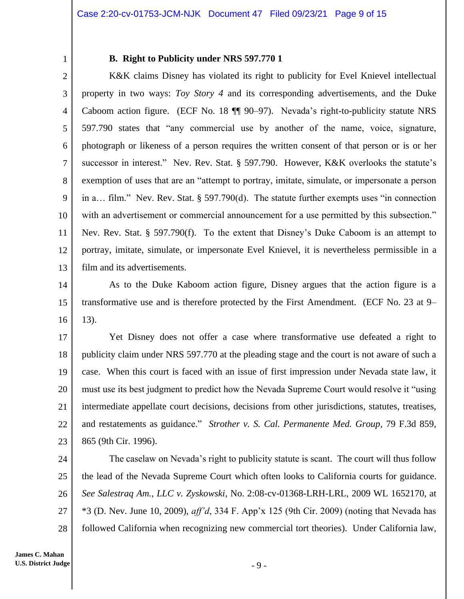1

## **B. Right to Publicity under NRS 597.770 1**

2 3 4 5 6 7 8 9 10 11 12 13 K&K claims Disney has violated its right to publicity for Evel Knievel intellectual property in two ways: *Toy Story 4* and its corresponding advertisements, and the Duke Caboom action figure. (ECF No. 18 ¶¶ 90–97). Nevada's right-to-publicity statute NRS 597.790 states that "any commercial use by another of the name, voice, signature, photograph or likeness of a person requires the written consent of that person or is or her successor in interest." Nev. Rev. Stat. § 597.790. However, K&K overlooks the statute's exemption of uses that are an "attempt to portray, imitate, simulate, or impersonate a person in a… film." Nev. Rev. Stat. § 597.790(d). The statute further exempts uses "in connection with an advertisement or commercial announcement for a use permitted by this subsection." Nev. Rev. Stat. § 597.790(f). To the extent that Disney's Duke Caboom is an attempt to portray, imitate, simulate, or impersonate Evel Knievel, it is nevertheless permissible in a film and its advertisements.

14 15 16 As to the Duke Kaboom action figure, Disney argues that the action figure is a transformative use and is therefore protected by the First Amendment. (ECF No. 23 at 9– 13).

17 18 19 20 21 22 23 Yet Disney does not offer a case where transformative use defeated a right to publicity claim under NRS 597.770 at the pleading stage and the court is not aware of such a case. When this court is faced with an issue of first impression under Nevada state law, it must use its best judgment to predict how the Nevada Supreme Court would resolve it "using intermediate appellate court decisions, decisions from other jurisdictions, statutes, treatises, and restatements as guidance." *Strother v. S. Cal. Permanente Med. Group*, 79 F.3d 859, 865 (9th Cir. 1996).

24 25 26 27 28 The caselaw on Nevada's right to publicity statute is scant. The court will thus follow the lead of the Nevada Supreme Court which often looks to California courts for guidance. *See Salestraq Am., LLC v. Zyskowski*, No. 2:08-cv-01368-LRH-LRL, 2009 WL 1652170, at \*3 (D. Nev. June 10, 2009), *aff'd*, 334 F. App'x 125 (9th Cir. 2009) (noting that Nevada has followed California when recognizing new commercial tort theories). Under California law,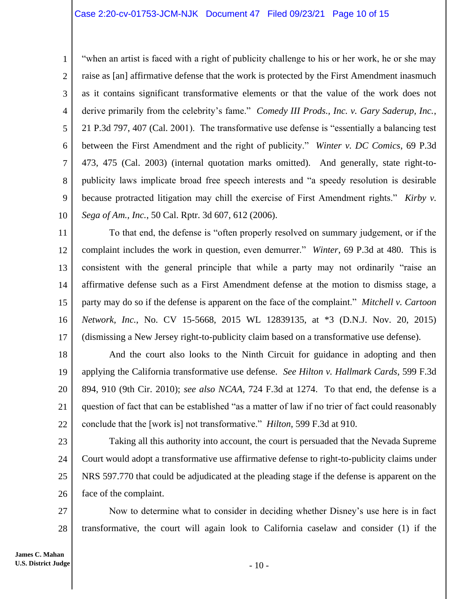1 2 3 4 5 6 7 8 9 10 "when an artist is faced with a right of publicity challenge to his or her work, he or she may raise as [an] affirmative defense that the work is protected by the First Amendment inasmuch as it contains significant transformative elements or that the value of the work does not derive primarily from the celebrity's fame." *Comedy III Prods., Inc. v. Gary Saderup, Inc.*, 21 P.3d 797, 407 (Cal. 2001). The transformative use defense is "essentially a balancing test between the First Amendment and the right of publicity." *Winter v. DC Comics*, 69 P.3d 473, 475 (Cal. 2003) (internal quotation marks omitted). And generally, state right-topublicity laws implicate broad free speech interests and "a speedy resolution is desirable because protracted litigation may chill the exercise of First Amendment rights." *Kirby v. Sega of Am., Inc.*, 50 Cal. Rptr. 3d 607, 612 (2006).

11 12 13 14 15 16 17 To that end, the defense is "often properly resolved on summary judgement, or if the complaint includes the work in question, even demurrer." *Winter*, 69 P.3d at 480. This is consistent with the general principle that while a party may not ordinarily "raise an affirmative defense such as a First Amendment defense at the motion to dismiss stage, a party may do so if the defense is apparent on the face of the complaint." *Mitchell v. Cartoon Network, Inc.*, No. CV 15-5668, 2015 WL 12839135, at \*3 (D.N.J. Nov. 20, 2015) (dismissing a New Jersey right-to-publicity claim based on a transformative use defense).

18 19 20 21 22 And the court also looks to the Ninth Circuit for guidance in adopting and then applying the California transformative use defense. *See Hilton v. Hallmark Cards*, 599 F.3d 894, 910 (9th Cir. 2010); *see also NCAA*, 724 F.3d at 1274. To that end, the defense is a question of fact that can be established "as a matter of law if no trier of fact could reasonably conclude that the [work is] not transformative." *Hilton*, 599 F.3d at 910.

23 24 25 26 Taking all this authority into account, the court is persuaded that the Nevada Supreme Court would adopt a transformative use affirmative defense to right-to-publicity claims under NRS 597.770 that could be adjudicated at the pleading stage if the defense is apparent on the face of the complaint.

27 28 Now to determine what to consider in deciding whether Disney's use here is in fact transformative, the court will again look to California caselaw and consider (1) if the

- 10 -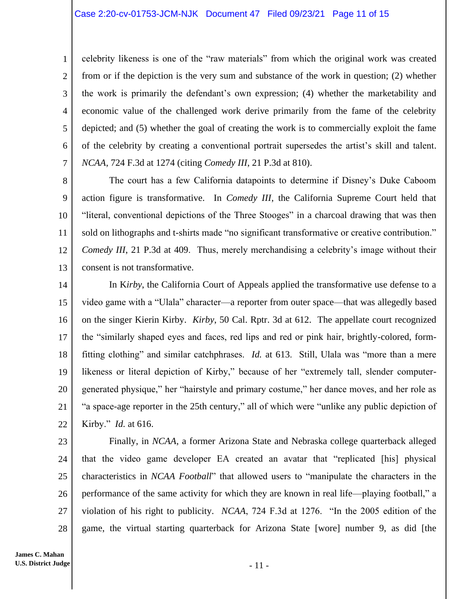celebrity likeness is one of the "raw materials" from which the original work was created from or if the depiction is the very sum and substance of the work in question; (2) whether the work is primarily the defendant's own expression; (4) whether the marketability and economic value of the challenged work derive primarily from the fame of the celebrity depicted; and (5) whether the goal of creating the work is to commercially exploit the fame of the celebrity by creating a conventional portrait supersedes the artist's skill and talent. *NCAA*, 724 F.3d at 1274 (citing *Comedy III*, 21 P.3d at 810).

8 9 10 11 12 13 The court has a few California datapoints to determine if Disney's Duke Caboom action figure is transformative. In *Comedy III*, the California Supreme Court held that "literal, conventional depictions of the Three Stooges" in a charcoal drawing that was then sold on lithographs and t-shirts made "no significant transformative or creative contribution." *Comedy III*, 21 P.3d at 409. Thus, merely merchandising a celebrity's image without their consent is not transformative.

14 15 16 17 18 19 20 21 22 In K*irby*, the California Court of Appeals applied the transformative use defense to a video game with a "Ulala" character—a reporter from outer space—that was allegedly based on the singer Kierin Kirby. *Kirby*, 50 Cal. Rptr. 3d at 612. The appellate court recognized the "similarly shaped eyes and faces, red lips and red or pink hair, brightly-colored, formfitting clothing" and similar catchphrases. *Id.* at 613. Still, Ulala was "more than a mere likeness or literal depiction of Kirby," because of her "extremely tall, slender computergenerated physique," her "hairstyle and primary costume," her dance moves, and her role as "a space-age reporter in the 25th century," all of which were "unlike any public depiction of Kirby." *Id.* at 616.

23 24 25 26 27 28 Finally, in *NCAA*, a former Arizona State and Nebraska college quarterback alleged that the video game developer EA created an avatar that "replicated [his] physical characteristics in *NCAA Football*" that allowed users to "manipulate the characters in the performance of the same activity for which they are known in real life—playing football," a violation of his right to publicity. *NCAA*, 724 F.3d at 1276. "In the 2005 edition of the game, the virtual starting quarterback for Arizona State [wore] number 9, as did [the

1

2

3

4

5

6

7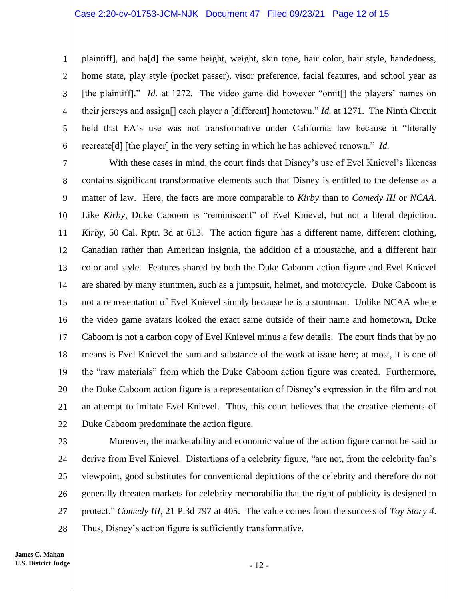#### Case 2:20-cv-01753-JCM-NJK Document 47 Filed 09/23/21 Page 12 of 15

plaintiff], and ha[d] the same height, weight, skin tone, hair color, hair style, handedness, home state, play style (pocket passer), visor preference, facial features, and school year as [the plaintiff]." *Id.* at 1272. The video game did however "omit<sup>[]</sup> the players' names on their jerseys and assign[] each player a [different] hometown." *Id.* at 1271. The Ninth Circuit held that EA's use was not transformative under California law because it "literally recreate[d] [the player] in the very setting in which he has achieved renown." *Id.*

7 8 9 10 11 12 13 14 15 16 17 18 19 20 21 22 With these cases in mind, the court finds that Disney's use of Evel Knievel's likeness contains significant transformative elements such that Disney is entitled to the defense as a matter of law. Here, the facts are more comparable to *Kirby* than to *Comedy III* or *NCAA*. Like *Kirby*, Duke Caboom is "reminiscent" of Evel Knievel, but not a literal depiction. *Kirby*, 50 Cal. Rptr. 3d at 613. The action figure has a different name, different clothing, Canadian rather than American insignia, the addition of a moustache, and a different hair color and style. Features shared by both the Duke Caboom action figure and Evel Knievel are shared by many stuntmen, such as a jumpsuit, helmet, and motorcycle. Duke Caboom is not a representation of Evel Knievel simply because he is a stuntman. Unlike NCAA where the video game avatars looked the exact same outside of their name and hometown, Duke Caboom is not a carbon copy of Evel Knievel minus a few details. The court finds that by no means is Evel Knievel the sum and substance of the work at issue here; at most, it is one of the "raw materials" from which the Duke Caboom action figure was created. Furthermore, the Duke Caboom action figure is a representation of Disney's expression in the film and not an attempt to imitate Evel Knievel. Thus, this court believes that the creative elements of Duke Caboom predominate the action figure.

1

2

3

4

5

6

27 28 Moreover, the marketability and economic value of the action figure cannot be said to derive from Evel Knievel. Distortions of a celebrity figure, "are not, from the celebrity fan's viewpoint, good substitutes for conventional depictions of the celebrity and therefore do not generally threaten markets for celebrity memorabilia that the right of publicity is designed to protect." *Comedy III*, 21 P.3d 797 at 405. The value comes from the success of *Toy Story 4*. Thus, Disney's action figure is sufficiently transformative.

**James C. Mahan U.S. District Judge**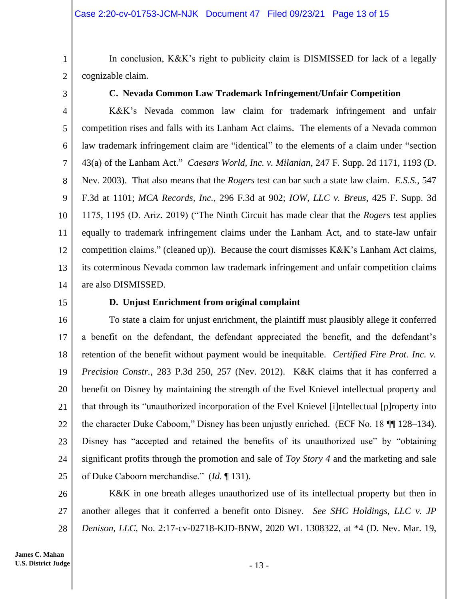1 2

cognizable claim.

3

## **C. Nevada Common Law Trademark Infringement/Unfair Competition**

In conclusion, K&K's right to publicity claim is DISMISSED for lack of a legally

4 5 6 7 8 9 10 11 12 13 14 K&K's Nevada common law claim for trademark infringement and unfair competition rises and falls with its Lanham Act claims. The elements of a Nevada common law trademark infringement claim are "identical" to the elements of a claim under "section 43(a) of the Lanham Act." *Caesars World, Inc. v. Milanian*, 247 F. Supp. 2d 1171, 1193 (D. Nev. 2003). That also means that the *Rogers* test can bar such a state law claim. *E.S.S.*, 547 F.3d at 1101; *MCA Records, Inc.*, 296 F.3d at 902; *IOW, LLC v. Breus*, 425 F. Supp. 3d 1175, 1195 (D. Ariz. 2019) ("The Ninth Circuit has made clear that the *Rogers* test applies equally to trademark infringement claims under the Lanham Act, and to state-law unfair competition claims." (cleaned up)). Because the court dismisses K&K's Lanham Act claims, its coterminous Nevada common law trademark infringement and unfair competition claims are also DISMISSED.

15

## **D. Unjust Enrichment from original complaint**

16 17 18 19 20 21 22 23 24 25 To state a claim for unjust enrichment, the plaintiff must plausibly allege it conferred a benefit on the defendant, the defendant appreciated the benefit, and the defendant's retention of the benefit without payment would be inequitable. *Certified Fire Prot. Inc. v. Precision Constr.*, 283 P.3d 250, 257 (Nev. 2012). K&K claims that it has conferred a benefit on Disney by maintaining the strength of the Evel Knievel intellectual property and that through its "unauthorized incorporation of the Evel Knievel [i]ntellectual [p]roperty into the character Duke Caboom," Disney has been unjustly enriched. (ECF No. 18 ¶¶ 128–134). Disney has "accepted and retained the benefits of its unauthorized use" by "obtaining significant profits through the promotion and sale of *Toy Story 4* and the marketing and sale of Duke Caboom merchandise." (*Id.* ¶ 131).

26 27 28 K&K in one breath alleges unauthorized use of its intellectual property but then in another alleges that it conferred a benefit onto Disney. *See SHC Holdings, LLC v. JP Denison, LLC*, No. 2:17-cv-02718-KJD-BNW, 2020 WL 1308322, at \*4 (D. Nev. Mar. 19,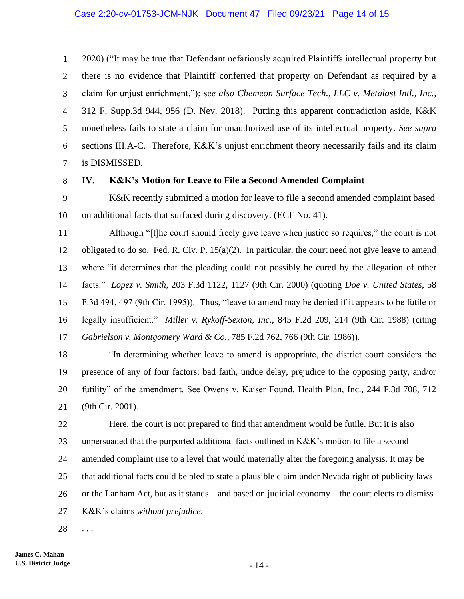4 2020) ("It may be true that Defendant nefariously acquired Plaintiffs intellectual property but there is no evidence that Plaintiff conferred that property on Defendant as required by a claim for unjust enrichment."); s*ee also Chemeon Surface Tech., LLC v. Metalast Intl., Inc.*, 312 F. Supp.3d 944, 956 (D. Nev. 2018). Putting this apparent contradiction aside, K&K nonetheless fails to state a claim for unauthorized use of its intellectual property. *See supra* sections III.A-C. Therefore, K&K's unjust enrichment theory necessarily fails and its claim is DISMISSED.

8

1

2

3

5

6

7

# **IV. K&K's Motion for Leave to File a Second Amended Complaint**

9 10 K&K recently submitted a motion for leave to file a second amended complaint based on additional facts that surfaced during discovery. (ECF No. 41).

11 12 13 14 15 16 17 Although "[t]he court should freely give leave when justice so requires," the court is not obligated to do so. Fed. R. Civ. P.  $15(a)(2)$ . In particular, the court need not give leave to amend where "it determines that the pleading could not possibly be cured by the allegation of other facts." *Lopez v. Smith*, 203 F.3d 1122, 1127 (9th Cir. 2000) (quoting *Doe v. United States*, 58 F.3d 494, 497 (9th Cir. 1995)). Thus, "leave to amend may be denied if it appears to be futile or legally insufficient." *Miller v. Rykoff-Sexton, Inc.*, 845 F.2d 209, 214 (9th Cir. 1988) (citing *Gabrielson v. Montgomery Ward & Co.*, 785 F.2d 762, 766 (9th Cir. 1986)).

18 19 20 21 "In determining whether leave to amend is appropriate, the district court considers the presence of any of four factors: bad faith, undue delay, prejudice to the opposing party, and/or futility" of the amendment. See Owens v. Kaiser Found. Health Plan, Inc., 244 F.3d 708, 712 (9th Cir. 2001).

22 23 24 25 26 27 Here, the court is not prepared to find that amendment would be futile. But it is also unpersuaded that the purported additional facts outlined in K&K's motion to file a second amended complaint rise to a level that would materially alter the foregoing analysis. It may be that additional facts could be pled to state a plausible claim under Nevada right of publicity laws or the Lanham Act, but as it stands—and based on judicial economy—the court elects to dismiss K&K's claims *without prejudice*.

28 . . .